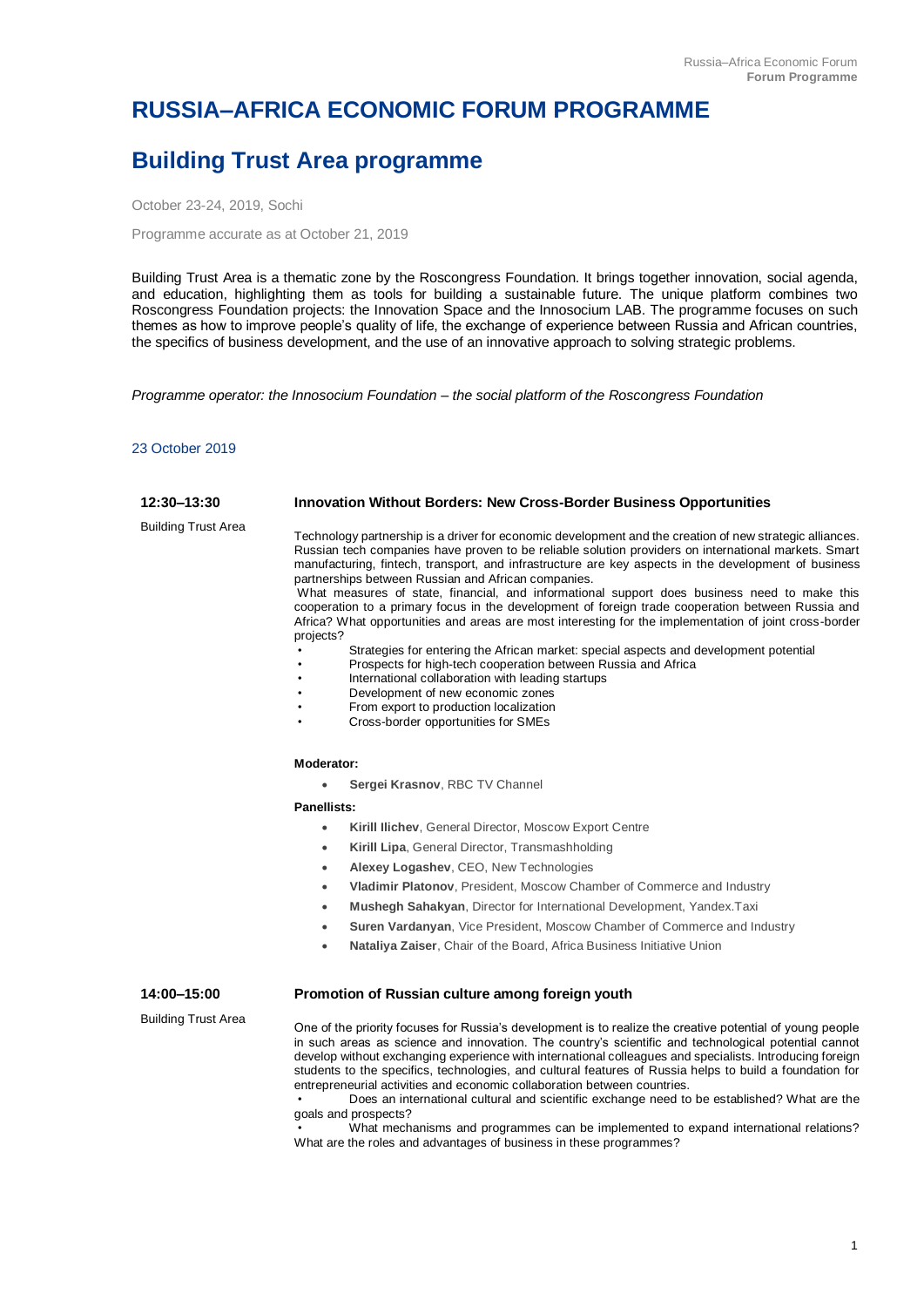# **RUSSIA–AFRICA ECONOMIC FORUM PROGRAMME**

# **Building Trust Area programme**

October 23-24, 2019, Sochi

Programme accurate as at October 21, 2019

Building Trust Area is a thematic zone by the Roscongress Foundation. It brings together innovation, social agenda, and education, highlighting them as tools for building a sustainable future. The unique platform combines two Roscongress Foundation projects: the Innovation Space and the Innosocium LAB. The programme focuses on such themes as how to improve people's quality of life, the exchange of experience between Russia and African countries, the specifics of business development, and the use of an innovative approach to solving strategic problems.

*Programme operator: the Innosocium Foundation – the social platform of the Roscongress Foundation*

# 23 October 2019

| 12:30-13:30                | <b>Innovation Without Borders: New Cross-Border Business Opportunities</b>                                                                                                                                                                                                                                                                                                                                                                                                                                                                                                                                                                                                                                                                                                                                                                                                                                                                                                                                                                       |
|----------------------------|--------------------------------------------------------------------------------------------------------------------------------------------------------------------------------------------------------------------------------------------------------------------------------------------------------------------------------------------------------------------------------------------------------------------------------------------------------------------------------------------------------------------------------------------------------------------------------------------------------------------------------------------------------------------------------------------------------------------------------------------------------------------------------------------------------------------------------------------------------------------------------------------------------------------------------------------------------------------------------------------------------------------------------------------------|
| <b>Building Trust Area</b> | Technology partnership is a driver for economic development and the creation of new strategic alliances.<br>Russian tech companies have proven to be reliable solution providers on international markets. Smart<br>manufacturing, fintech, transport, and infrastructure are key aspects in the development of business<br>partnerships between Russian and African companies.<br>What measures of state, financial, and informational support does business need to make this<br>cooperation to a primary focus in the development of foreign trade cooperation between Russia and<br>Africa? What opportunities and areas are most interesting for the implementation of joint cross-border<br>projects?<br>Strategies for entering the African market: special aspects and development potential<br>Prospects for high-tech cooperation between Russia and Africa<br>International collaboration with leading startups<br>Development of new economic zones<br>From export to production localization<br>Cross-border opportunities for SMEs |
|                            | Moderator:                                                                                                                                                                                                                                                                                                                                                                                                                                                                                                                                                                                                                                                                                                                                                                                                                                                                                                                                                                                                                                       |
|                            | Sergei Krasnov, RBC TV Channel<br>$\bullet$                                                                                                                                                                                                                                                                                                                                                                                                                                                                                                                                                                                                                                                                                                                                                                                                                                                                                                                                                                                                      |
|                            | Panellists:                                                                                                                                                                                                                                                                                                                                                                                                                                                                                                                                                                                                                                                                                                                                                                                                                                                                                                                                                                                                                                      |
|                            | Kirill Ilichev, General Director, Moscow Export Centre<br>$\bullet$                                                                                                                                                                                                                                                                                                                                                                                                                                                                                                                                                                                                                                                                                                                                                                                                                                                                                                                                                                              |
|                            | Kirill Lipa, General Director, Transmashholding<br>$\bullet$                                                                                                                                                                                                                                                                                                                                                                                                                                                                                                                                                                                                                                                                                                                                                                                                                                                                                                                                                                                     |
|                            | Alexey Logashev, CEO, New Technologies<br>$\bullet$                                                                                                                                                                                                                                                                                                                                                                                                                                                                                                                                                                                                                                                                                                                                                                                                                                                                                                                                                                                              |
|                            | Vladimir Platonov, President, Moscow Chamber of Commerce and Industry<br>$\bullet$                                                                                                                                                                                                                                                                                                                                                                                                                                                                                                                                                                                                                                                                                                                                                                                                                                                                                                                                                               |
|                            | Mushegh Sahakyan, Director for International Development, Yandex.Taxi<br>$\bullet$                                                                                                                                                                                                                                                                                                                                                                                                                                                                                                                                                                                                                                                                                                                                                                                                                                                                                                                                                               |
|                            | Suren Vardanyan, Vice President, Moscow Chamber of Commerce and Industry<br>$\bullet$                                                                                                                                                                                                                                                                                                                                                                                                                                                                                                                                                                                                                                                                                                                                                                                                                                                                                                                                                            |
|                            | Nataliya Zaiser, Chair of the Board, Africa Business Initiative Union<br>$\bullet$                                                                                                                                                                                                                                                                                                                                                                                                                                                                                                                                                                                                                                                                                                                                                                                                                                                                                                                                                               |
| 14:00-15:00                | Promotion of Russian culture among foreign youth                                                                                                                                                                                                                                                                                                                                                                                                                                                                                                                                                                                                                                                                                                                                                                                                                                                                                                                                                                                                 |
| <b>Building Trust Area</b> | One of the priority focuses for Russia's development is to realize the creative potential of young people<br>in such areas as science and innovation. The country's scientific and technological potential cannot<br>develop without exchanging experience with international colleagues and specialists. Introducing foreign<br>students to the specifics, technologies, and cultural features of Russia helps to build a foundation for<br>entrepreneurial activities and economic collaboration between countries.<br>Does an international cultural and scientific exchange need to be established? What are the<br>goals and prospects?<br>What mechanisms and programmes can be implemented to expand international relations?<br>What are the roles and advantages of business in these programmes?                                                                                                                                                                                                                                       |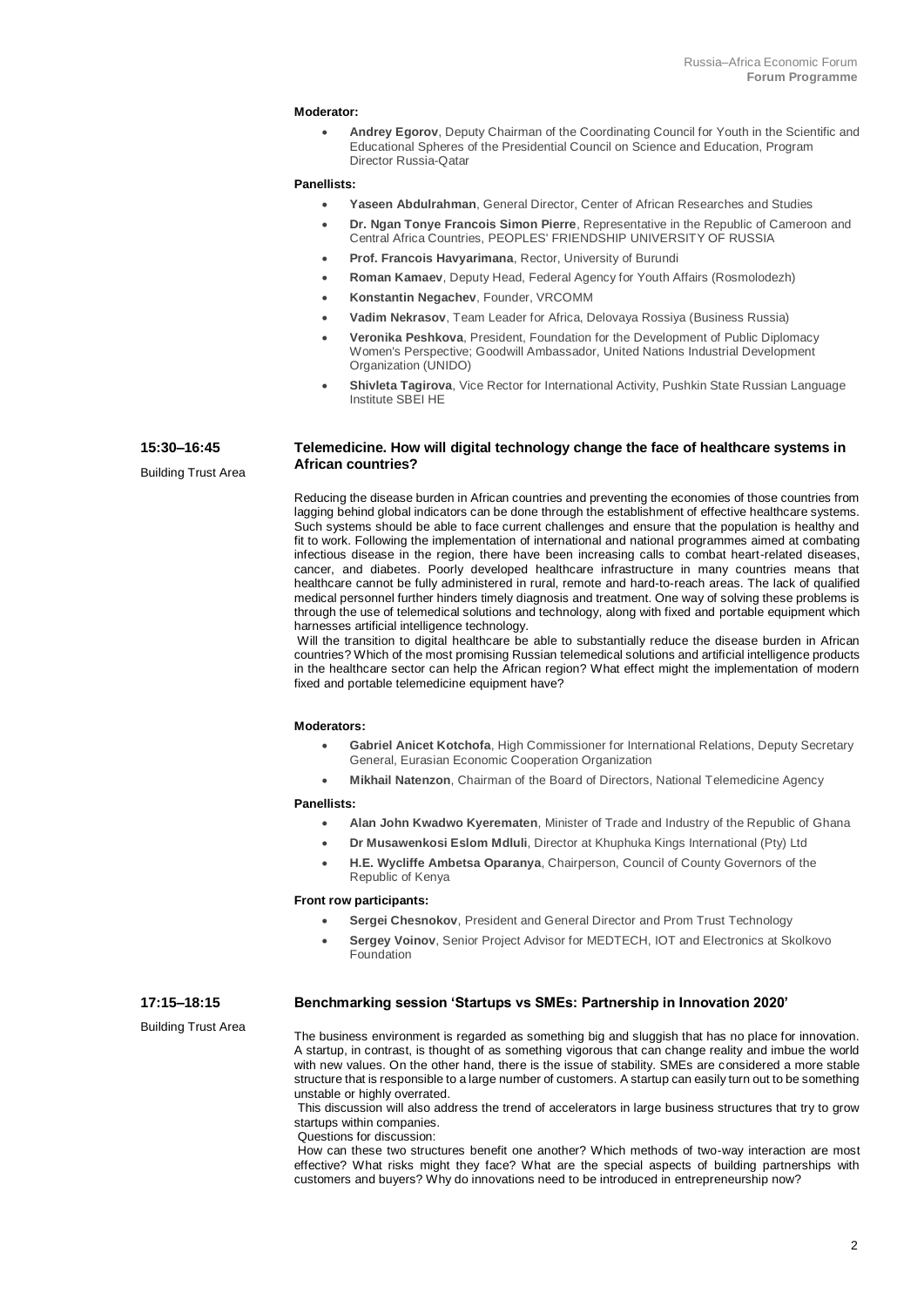#### **Moderator:**

• **Andrey Egorov**, Deputy Chairman of the Coordinating Council for Youth in the Scientific and Educational Spheres of the Presidential Council on Science and Education, Program Director Russia-Qatar

# **Panellists:**

- **Yaseen Abdulrahman**, General Director, Center of African Researches and Studies
- **Dr. Ngan Tonye Francois Simon Pierre**, Representative in the Republic of Cameroon and Central Africa Countries, PEOPLES' FRIENDSHIP UNIVERSITY OF RUSSIA
- **Prof. Francois Havyarimana**, Rector, University of Burundi
- **Roman Kamaev**, Deputy Head, Federal Agency for Youth Affairs (Rosmolodezh)
- **Konstantin Negachev**, Founder, VRCOMM
- **Vadim Nekrasov**, Team Leader for Africa, Delovaya Rossiya (Business Russia)
	- **Veronika Peshkova**, President, Foundation for the Development of Public Diplomacy Women's Perspective; Goodwill Ambassador, United Nations Industrial Development Organization (UNIDO)
	- **Shivleta Tagirova**, Vice Rector for International Activity, Pushkin State Russian Language Institute SBEI HE

# **Telemedicine. How will digital technology change the face of healthcare systems in African countries?**

Reducing the disease burden in African countries and preventing the economies of those countries from lagging behind global indicators can be done through the establishment of effective healthcare systems. Such systems should be able to face current challenges and ensure that the population is healthy and fit to work. Following the implementation of international and national programmes aimed at combating infectious disease in the region, there have been increasing calls to combat heart-related diseases, cancer, and diabetes. Poorly developed healthcare infrastructure in many countries means that healthcare cannot be fully administered in rural, remote and hard-to-reach areas. The lack of qualified medical personnel further hinders timely diagnosis and treatment. One way of solving these problems is through the use of telemedical solutions and technology, along with fixed and portable equipment which harnesses artificial intelligence technology.

Will the transition to digital healthcare be able to substantially reduce the disease burden in African countries? Which of the most promising Russian telemedical solutions and artificial intelligence products in the healthcare sector can help the African region? What effect might the implementation of modern fixed and portable telemedicine equipment have?

#### **Moderators:**

- **Gabriel Anicet Kotchofa**, High Commissioner for International Relations, Deputy Secretary General, Eurasian Economic Cooperation Organization
- **Mikhail Natenzon**, Chairman of the Board of Directors, National Telemedicine Agency

#### **Panellists:**

- **Alan John Kwadwo Kyerematen**, Minister of Trade and Industry of the Republic of Ghana
- **Dr Musawenkosi Eslom Mdluli**, Director at Khuphuka Kings International (Pty) Ltd
- **H.E. Wycliffe Ambetsa Oparanya**, Chairperson, Council of County Governors of the Republic of Kenya

#### **Front row participants:**

- **Sergei Chesnokov**, President and General Director and Prom Trust Technology
- **Sergey Voinov**, Senior Project Advisor for MEDTECH, IOT and Electronics at Skolkovo Foundation

#### **17:15–18:15 Benchmarking session 'Startups vs SMEs: Partnership in Innovation 2020'**

Building Trust Area

**15:30–16:45** Building Trust Area

> The business environment is regarded as something big and sluggish that has no place for innovation. A startup, in contrast, is thought of as something vigorous that can change reality and imbue the world with new values. On the other hand, there is the issue of stability. SMEs are considered a more stable structure that is responsible to a large number of customers. A startup can easily turn out to be something unstable or highly overrated.

> This discussion will also address the trend of accelerators in large business structures that try to grow startups within companies. Questions for discussion:

> How can these two structures benefit one another? Which methods of two-way interaction are most effective? What risks might they face? What are the special aspects of building partnerships with customers and buyers? Why do innovations need to be introduced in entrepreneurship now?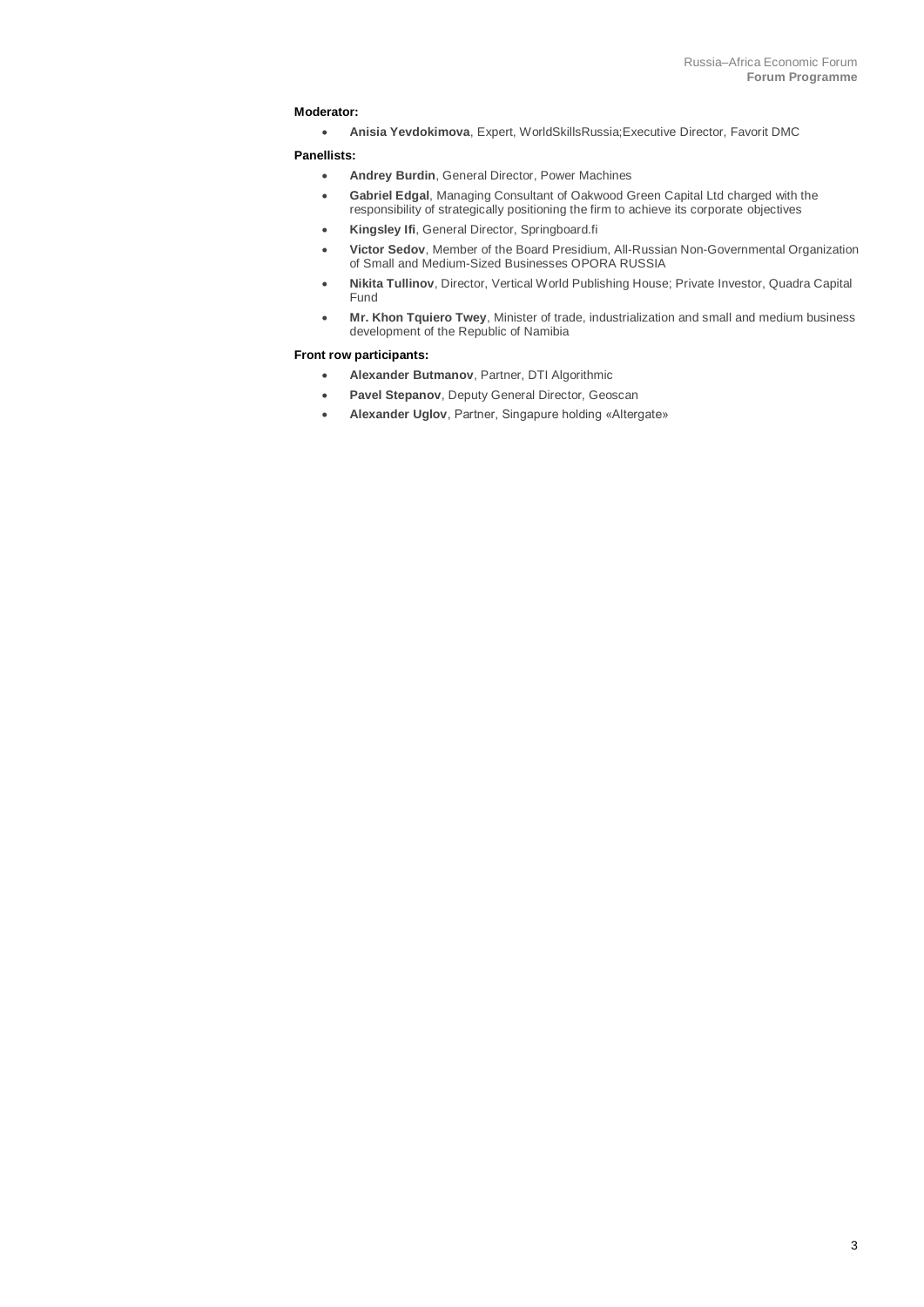# **Moderator:**

• **Anisia Yevdokimova**, Expert, WorldSkillsRussia;Executive Director, Favorit DMC

### **Panellists:**

- **Andrey Burdin**, General Director, Power Machines
- **Gabriel Edgal**, Managing Consultant of Oakwood Green Capital Ltd charged with the responsibility of strategically positioning the firm to achieve its corporate objectives
- **Kingsley Ifi**, General Director, Springboard.fi
- **Victor Sedov**, Member of the Board Presidium, All-Russian Non-Governmental Organization of Small and Medium-Sized Businesses OPORA RUSSIA
- **Nikita Tullinov**, Director, Vertical World Publishing House; Private Investor, Quadra Capital Fund
- **Mr. Khon Tquiero Twey**, Minister of trade, industrialization and small and medium business development of the Republic of Namibia

# **Front row participants:**

- **Alexander Butmanov**, Partner, DTI Algorithmic
- **Pavel Stepanov**, Deputy General Director, Geoscan
- **Alexander Uglov**, Partner, Singapure holding «Altergate»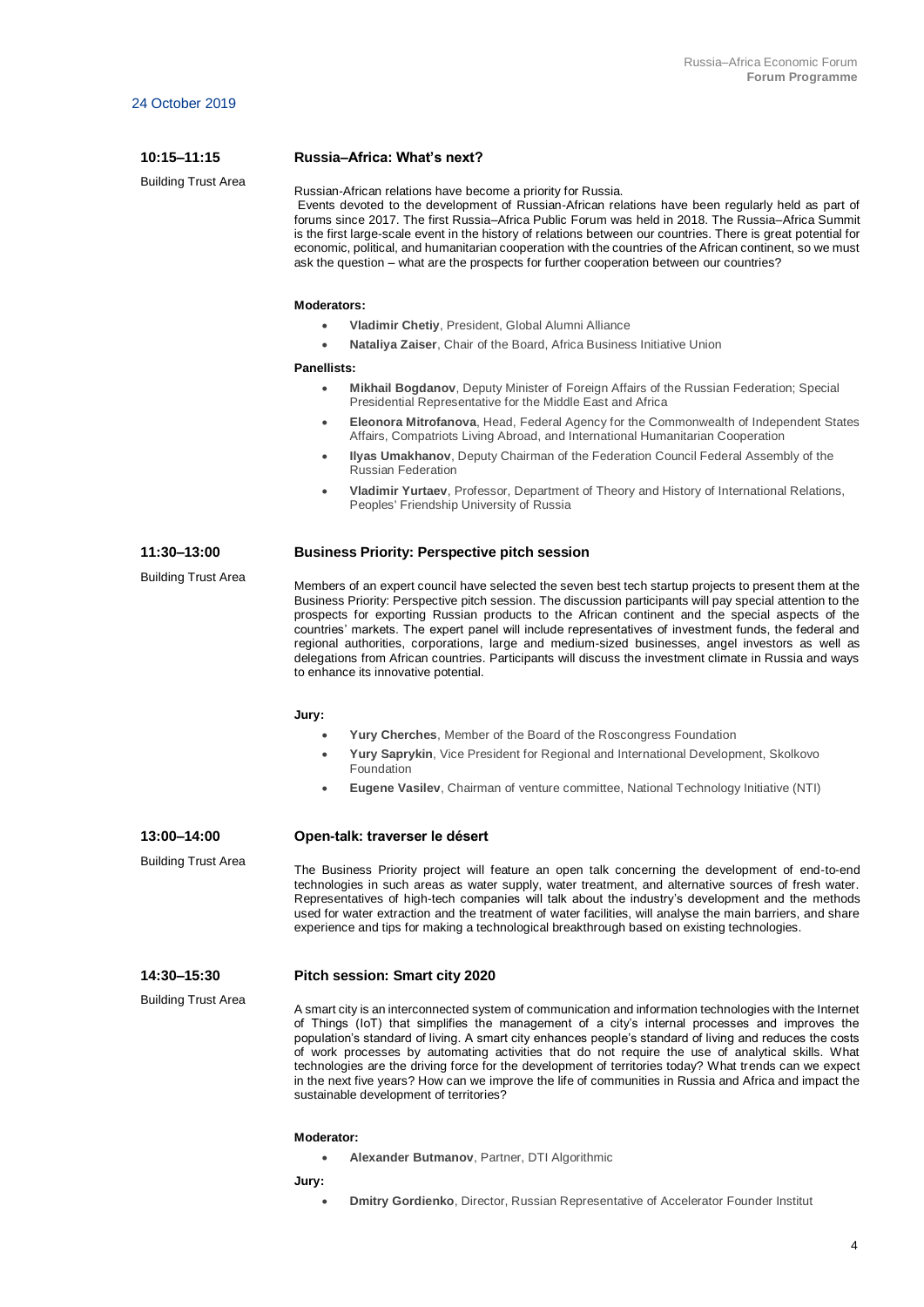**10:15–11:15**

# **Russia–Africa: What's next?**

Building Trust Area

Russian-African relations have become a priority for Russia.

Events devoted to the development of Russian-African relations have been regularly held as part of forums since 2017. The first Russia–Africa Public Forum was held in 2018. The Russia–Africa Summit is the first large-scale event in the history of relations between our countries. There is great potential for economic, political, and humanitarian cooperation with the countries of the African continent, so we must ask the question – what are the prospects for further cooperation between our countries?

# **Moderators:**

- **Vladimir Chetiy**, President, Global Alumni Alliance
- **Nataliya Zaiser**, Chair of the Board, Africa Business Initiative Union

#### **Panellists:**

- **Mikhail Bogdanov**, Deputy Minister of Foreign Affairs of the Russian Federation; Special Presidential Representative for the Middle East and Africa
- **Eleonora Mitrofanova**, Head, Federal Agency for the Commonwealth of Independent States Affairs, Compatriots Living Abroad, and International Humanitarian Cooperation
- **Ilyas Umakhanov**, Deputy Chairman of the Federation Council Federal Assembly of the Russian Federation
- **Vladimir Yurtaev**, Professor, Department of Theory and History of International Relations, Peoples' Friendship University of Russia

#### **11:30–13:00 Business Priority: Perspective pitch session**

Members of an expert council have selected the seven best tech startup projects to present them at the Business Priority: Perspective pitch session. The discussion participants will pay special attention to the prospects for exporting Russian products to the African continent and the special aspects of the countries' markets. The expert panel will include representatives of investment funds, the federal and regional authorities, corporations, large and medium-sized businesses, angel investors as well as delegations from African countries. Participants will discuss the investment climate in Russia and ways to enhance its innovative potential.

#### **Jury:**

- **Yury Cherches**, Member of the Board of the Roscongress Foundation
- **Yury Saprykin**, Vice President for Regional and International Development, Skolkovo Foundation
- **Eugene Vasilev**, Chairman of venture committee, National Technology Initiative (NTI)

**13:00–14:00** Building Trust Area

Building Trust Area

# **Open-talk: traverser le désert**

The Business Priority project will feature an open talk concerning the development of end-to-end technologies in such areas as water supply, water treatment, and alternative sources of fresh water. Representatives of high-tech companies will talk about the industry's development and the methods used for water extraction and the treatment of water facilities, will analyse the main barriers, and share experience and tips for making a technological breakthrough based on existing technologies.

#### **14:30–15:30 Pitch session: Smart city 2020**

Building Trust Area

A smart city is an interconnected system of communication and information technologies with the Internet of Things (IoT) that simplifies the management of a city's internal processes and improves the population's standard of living. A smart city enhances people's standard of living and reduces the costs of work processes by automating activities that do not require the use of analytical skills. What technologies are the driving force for the development of territories today? What trends can we expect in the next five years? How can we improve the life of communities in Russia and Africa and impact the sustainable development of territories?

### **Moderator:**

• **Alexander Butmanov**, Partner, DTI Algorithmic

**Jury:**

• **Dmitry Gordienko**, Director, Russian Representative of Accelerator Founder Institut